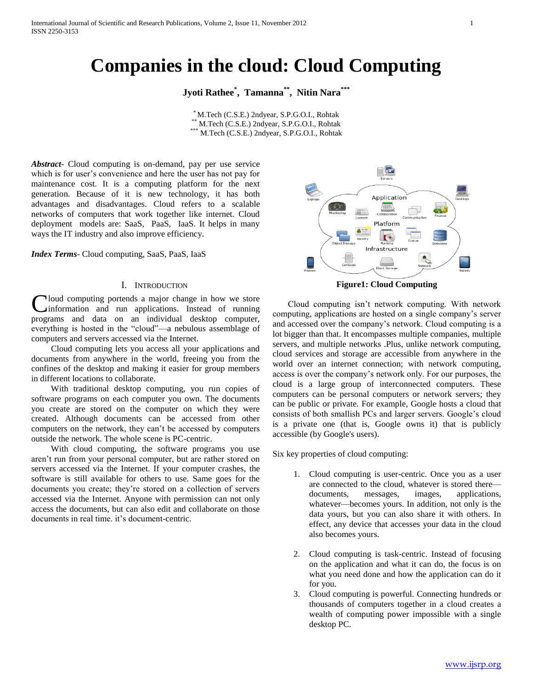# **Companies in the cloud: Cloud Computing**

**Jyoti Rathee\* , Tamanna\*\*, Nitin Nara\*\*\***

\* M.Tech (C.S.E.) 2ndyear, S.P.G.O.I., Rohtak M.Tech (C.S.E.) 2ndyear, S.P.G.O.I., Rohtak  $*$  M.Tech (C.S.E.) 2ndyear, S.P.G.O.I., Rohtak

*Abstract***-** Cloud computing is on-demand, pay per use service which is for user's convenience and here the user has not pay for maintenance cost. It is a computing platform for the next generation. Because of it is new technology, it has both advantages and disadvantages. Cloud refers to a scalable networks of computers that work together like internet. Cloud deployment models are: SaaS, PaaS, IaaS. It helps in many ways the IT industry and also improve efficiency.

*Index Terms*- Cloud computing, SaaS, PaaS, IaaS

## I. INTRODUCTION

loud computing portends a major change in how we store information and run applications. Instead of running programs and data on an individual desktop computer, everything is hosted in the "cloud"—a nebulous assemblage of computers and servers accessed via the Internet. C

 Cloud computing lets you access all your applications and documents from anywhere in the world, freeing you from the confines of the desktop and making it easier for group members in different locations to collaborate.

 With traditional desktop computing, you run copies of software programs on each computer you own. The documents you create are stored on the computer on which they were created. Although documents can be accessed from other computers on the network, they can't be accessed by computers outside the network. The whole scene is PC-centric.

 With cloud computing, the software programs you use aren't run from your personal computer, but are rather stored on servers accessed via the Internet. If your computer crashes, the software is still available for others to use. Same goes for the documents you create; they're stored on a collection of servers accessed via the Internet. Anyone with permission can not only access the documents, but can also edit and collaborate on those documents in real time. it's document-centric.



**Figure1: Cloud Computing**

 Cloud computing isn't network computing. With network computing, applications are hosted on a single company's server and accessed over the company's network. Cloud computing is a lot bigger than that. It encompasses multiple companies, multiple servers, and multiple networks .Plus, unlike network computing, cloud services and storage are accessible from anywhere in the world over an internet connection; with network computing, access is over the company's network only. For our purposes, the cloud is a large group of interconnected computers. These computers can be personal computers or network servers; they can be public or private. For example, Google hosts a cloud that consists of both smallish PCs and larger servers. Google's cloud is a private one (that is, Google owns it) that is publicly accessible (by Google's users).

Six key properties of cloud computing:

- 1. Cloud computing is user-centric. Once you as a user are connected to the cloud, whatever is stored there documents, messages, images, applications, whatever—becomes yours. In addition, not only is the data yours, but you can also share it with others. In effect, any device that accesses your data in the cloud also becomes yours.
- 2. Cloud computing is task-centric. Instead of focusing on the application and what it can do, the focus is on what you need done and how the application can do it for you.
- 3. Cloud computing is powerful. Connecting hundreds or thousands of computers together in a cloud creates a wealth of computing power impossible with a single desktop PC.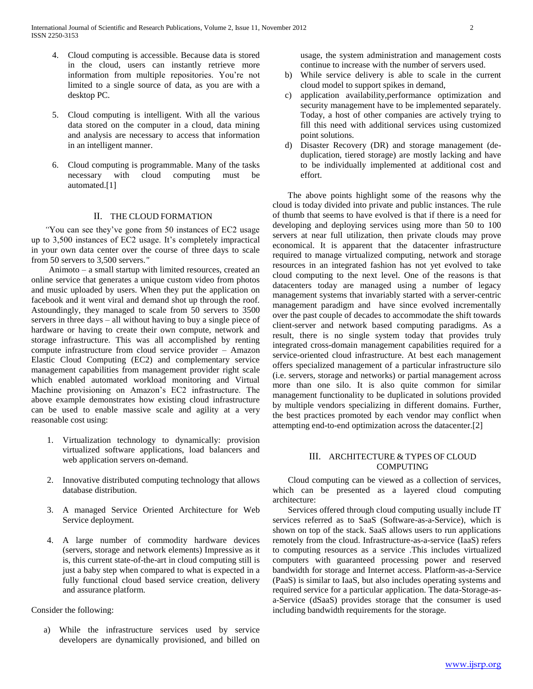- 4. Cloud computing is accessible. Because data is stored in the cloud, users can instantly retrieve more information from multiple repositories. You're not limited to a single source of data, as you are with a desktop PC.
- 5. Cloud computing is intelligent. With all the various data stored on the computer in a cloud, data mining and analysis are necessary to access that information in an intelligent manner.
- 6. Cloud computing is programmable. Many of the tasks necessary with cloud computing must be automated.[1]

## II. THE CLOUD FORMATION

 *"*You can see they've gone from 50 instances of EC2 usage up to 3,500 instances of EC2 usage. It's completely impractical in your own data center over the course of three days to scale from 50 servers to 3,500 servers*."*

Animoto – a small startup with limited resources, created an online service that generates a unique custom video from photos and music uploaded by users. When they put the application on facebook and it went viral and demand shot up through the roof. Astoundingly, they managed to scale from 50 servers to 3500 servers in three days – all without having to buy a single piece of hardware or having to create their own compute, network and storage infrastructure. This was all accomplished by renting compute infrastructure from cloud service provider – Amazon Elastic Cloud Computing (EC2) and complementary service management capabilities from management provider right scale which enabled automated workload monitoring and Virtual Machine provisioning on Amazon's EC2 infrastructure. The above example demonstrates how existing cloud infrastructure can be used to enable massive scale and agility at a very reasonable cost using:

- 1. Virtualization technology to dynamically: provision virtualized software applications, load balancers and web application servers on-demand.
- 2. Innovative distributed computing technology that allows database distribution.
- 3. A managed Service Oriented Architecture for Web Service deployment.
- 4. A large number of commodity hardware devices (servers, storage and network elements) Impressive as it is, this current state-of-the-art in cloud computing still is just a baby step when compared to what is expected in a fully functional cloud based service creation, delivery and assurance platform.

Consider the following:

a) While the infrastructure services used by service developers are dynamically provisioned, and billed on

usage, the system administration and management costs continue to increase with the number of servers used.

- b) While service delivery is able to scale in the current cloud model to support spikes in demand,
- c) application availability,performance optimization and security management have to be implemented separately. Today, a host of other companies are actively trying to fill this need with additional services using customized point solutions.
- d) Disaster Recovery (DR) and storage management (deduplication, tiered storage) are mostly lacking and have to be individually implemented at additional cost and effort.

 The above points highlight some of the reasons why the cloud is today divided into private and public instances. The rule of thumb that seems to have evolved is that if there is a need for developing and deploying services using more than 50 to 100 servers at near full utilization, then private clouds may prove economical. It is apparent that the datacenter infrastructure required to manage virtualized computing, network and storage resources in an integrated fashion has not yet evolved to take cloud computing to the next level. One of the reasons is that datacenters today are managed using a number of legacy management systems that invariably started with a server-centric management paradigm and have since evolved incrementally over the past couple of decades to accommodate the shift towards client-server and network based computing paradigms. As a result, there is no single system today that provides truly integrated cross-domain management capabilities required for a service-oriented cloud infrastructure. At best each management offers specialized management of a particular infrastructure silo (i.e. servers, storage and networks) or partial management across more than one silo. It is also quite common for similar management functionality to be duplicated in solutions provided by multiple vendors specializing in different domains. Further, the best practices promoted by each vendor may conflict when attempting end-to-end optimization across the datacenter.[2]

## III. ARCHITECTURE & TYPES OF CLOUD **COMPUTING**

 Cloud computing can be viewed as a collection of services, which can be presented as a layered cloud computing architecture:

 Services offered through cloud computing usually include IT services referred as to SaaS (Software-as-a-Service), which is shown on top of the stack. SaaS allows users to run applications remotely from the cloud. Infrastructure-as-a-service (IaaS) refers to computing resources as a service .This includes virtualized computers with guaranteed processing power and reserved bandwidth for storage and Internet access. Platform-as-a-Service (PaaS) is similar to IaaS, but also includes operating systems and required service for a particular application. The data-Storage-asa-Service (dSaaS) provides storage that the consumer is used including bandwidth requirements for the storage.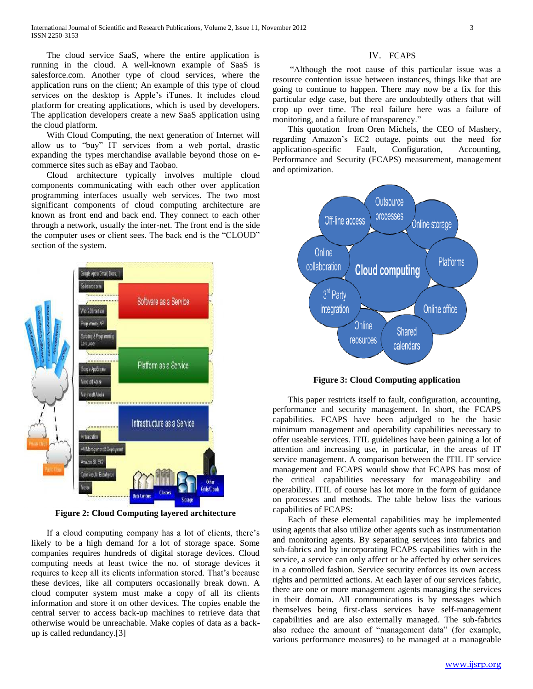The cloud service SaaS, where the entire application is running in the cloud. A well-known example of SaaS is salesforce.com. Another type of cloud services, where the application runs on the client; An example of this type of cloud services on the desktop is Apple's iTunes. It includes cloud platform for creating applications, which is used by developers. The application developers create a new SaaS application using the cloud platform.

 With Cloud Computing, the next generation of Internet will allow us to "buy" IT services from a web portal, drastic expanding the types merchandise available beyond those on ecommerce sites such as eBay and Taobao.

 Cloud architecture typically involves multiple cloud components communicating with each other over application programming interfaces usually web services. The two most significant components of cloud computing architecture are known as front end and back end. They connect to each other through a network, usually the inter-net. The front end is the side the computer uses or client sees. The back end is the "CLOUD" section of the system.



**Figure 2: Cloud Computing layered architecture**

 If a cloud computing company has a lot of clients, there's likely to be a high demand for a lot of storage space. Some companies requires hundreds of digital storage devices. Cloud computing needs at least twice the no. of storage devices it requires to keep all its clients information stored. That's because these devices, like all computers occasionally break down. A cloud computer system must make a copy of all its clients information and store it on other devices. The copies enable the central server to access back-up machines to retrieve data that otherwise would be unreachable. Make copies of data as a backup is called redundancy.[3]

#### IV. FCAPS

 "Although the root cause of this particular issue was a resource contention issue between instances, things like that are going to continue to happen. There may now be a fix for this particular edge case, but there are undoubtedly others that will crop up over time. The real failure here was a failure of monitoring, and a failure of transparency."

 This quotation from Oren Michels, the CEO of Mashery, regarding Amazon's EC2 outage, points out the need for application-specific Fault, Configuration, Accounting, Performance and Security (FCAPS) measurement, management and optimization.



**Figure 3: Cloud Computing application**

 This paper restricts itself to fault, configuration, accounting, performance and security management. In short, the FCAPS capabilities. FCAPS have been adjudged to be the basic minimum management and operability capabilities necessary to offer useable services. ITIL guidelines have been gaining a lot of attention and increasing use, in particular, in the areas of IT service management. A comparison between the ITIL IT service management and FCAPS would show that FCAPS has most of the critical capabilities necessary for manageability and operability. ITIL of course has lot more in the form of guidance on processes and methods. The table below lists the various capabilities of FCAPS:

 Each of these elemental capabilities may be implemented using agents that also utilize other agents such as instrumentation and monitoring agents. By separating services into fabrics and sub-fabrics and by incorporating FCAPS capabilities with in the service, a service can only affect or be affected by other services in a controlled fashion. Service security enforces its own access rights and permitted actions. At each layer of our services fabric, there are one or more management agents managing the services in their domain. All communications is by messages which themselves being first-class services have self-management capabilities and are also externally managed. The sub-fabrics also reduce the amount of "management data" (for example, various performance measures) to be managed at a manageable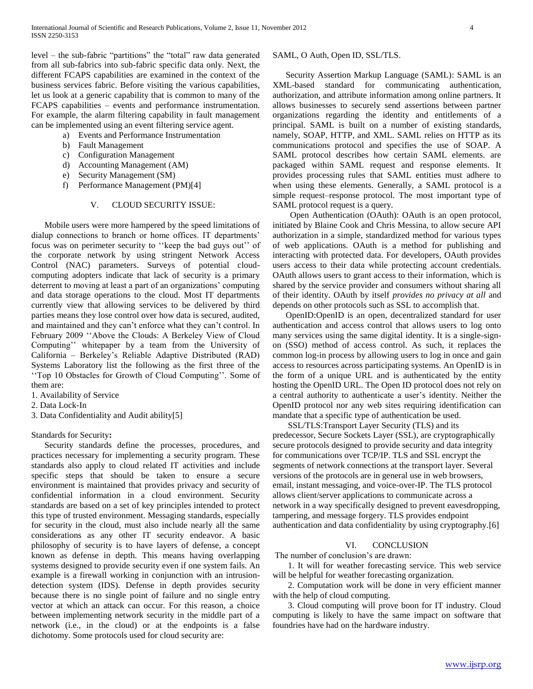level – the sub-fabric "partitions" the "total" raw data generated from all sub-fabrics into sub-fabric specific data only. Next, the different FCAPS capabilities are examined in the context of the business services fabric. Before visiting the various capabilities, let us look at a generic capability that is common to many of the FCAPS capabilities – events and performance instrumentation. For example, the alarm filtering capability in fault management can be implemented using an event filtering service agent.

- a) Events and Performance Instrumentation
- b) Fault Management
- c) Configuration Management
- d) Accounting Management (AM)
- e) Security Management (SM)
- f) Performance Management (PM)[4]

#### V. CLOUD SECURITY ISSUE:

 Mobile users were more hampered by the speed limitations of dialup connections to branch or home offices. IT departments' focus was on perimeter security to ''keep the bad guys out'' of the corporate network by using stringent Network Access Control (NAC) parameters. Surveys of potential cloudcomputing adopters indicate that lack of security is a primary deterrent to moving at least a part of an organizations' computing and data storage operations to the cloud. Most IT departments currently view that allowing services to be delivered by third parties means they lose control over how data is secured, audited, and maintained and they can't enforce what they can't control. In February 2009 ''Above the Clouds: A Berkeley View of Cloud Computing'' whitepaper by a team from the University of California – Berkeley's Reliable Adaptive Distributed (RAD) Systems Laboratory list the following as the first three of the ''Top 10 Obstacles for Growth of Cloud Computing''. Some of them are:

1. Availability of Service

2. Data Lock-In

3. Data Confidentiality and Audit ability[5]

Standards for Security**:**

Security standards define the processes, procedures, and practices necessary for implementing a security program. These standards also apply to cloud related IT activities and include specific steps that should be taken to ensure a secure environment is maintained that provides privacy and security of confidential information in a cloud environment. Security standards are based on a set of key principles intended to protect this type of trusted environment. Messaging standards, especially for security in the cloud, must also include nearly all the same considerations as any other IT security endeavor. A basic philosophy of security is to have layers of defense, a concept known as defense in depth. This means having overlapping systems designed to provide security even if one system fails. An example is a firewall working in conjunction with an intrusiondetection system (IDS). Defense in depth provides security because there is no single point of failure and no single entry vector at which an attack can occur. For this reason, a choice between implementing network security in the middle part of a network (i.e., in the cloud) or at the endpoints is a false dichotomy. Some protocols used for cloud security are:

### SAML, O Auth, Open ID, SSL/TLS.

 Security Assertion Markup Language (SAML): SAML is an XML-based standard for communicating authentication, authorization, and attribute information among online partners. It allows businesses to securely send assertions between partner organizations regarding the identity and entitlements of a principal. SAML is built on a number of existing standards, namely, SOAP, HTTP, and XML. SAML relies on HTTP as its communications protocol and specifies the use of SOAP. A SAML protocol describes how certain SAML elements. are packaged within SAML request and response elements. It provides processing rules that SAML entities must adhere to when using these elements. Generally, a SAML protocol is a simple request–response protocol. The most important type of SAML protocol request is a query.

 Open Authentication (OAuth): OAuth is an open protocol, initiated by Blaine Cook and Chris Messina, to allow secure API authorization in a simple, standardized method for various types of web applications. OAuth is a method for publishing and interacting with protected data. For developers, OAuth provides users access to their data while protecting account credentials. OAuth allows users to grant access to their information, which is shared by the service provider and consumers without sharing all of their identity. OAuth by itself *provides no privacy at all* and depends on other protocols such as SSL to accomplish that.

 OpenID:OpenID is an open, decentralized standard for user authentication and access control that allows users to log onto many services using the same digital identity. It is a single-signon (SSO) method of access control. As such, it replaces the common log-in process by allowing users to log in once and gain access to resources across participating systems. An OpenID is in the form of a unique URL and is authenticated by the entity hosting the OpenID URL. The Open ID protocol does not rely on a central authority to authenticate a user's identity. Neither the OpenID protocol nor any web sites requiring identification can mandate that a specific type of authentication be used.

 SSL/TLS:Transport Layer Security (TLS) and its predecessor, Secure Sockets Layer (SSL), are cryptographically secure protocols designed to provide security and data integrity for communications over TCP/IP. TLS and SSL encrypt the segments of network connections at the transport layer. Several versions of the protocols are in general use in web browsers, email, instant messaging, and voice-over-IP. The TLS protocol allows client/server applications to communicate across a network in a way specifically designed to prevent eavesdropping, tampering, and message forgery. TLS provides endpoint authentication and data confidentiality by using cryptography.[6]

## VI. CONCLUSION

The number of conclusion's are drawn:

 1. It will for weather forecasting service. This web service will be helpful for weather forecasting organization.

 2. Computation work will be done in very efficient manner with the help of cloud computing.

 3. Cloud computing will prove boon for IT industry. Cloud computing is likely to have the same impact on software that foundries have had on the hardware industry.